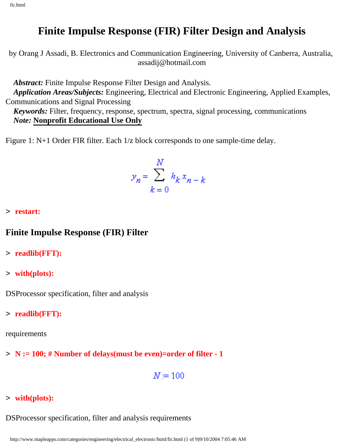# **Finite Impulse Response (FIR) Filter Design and Analysis**

by Orang J Assadi, B. Electronics and Communication Engineering, University of Canberra, Australia, assadij@hotmail.com

*Abstract:* Finite Impulse Response Filter Design and Analysis.

 *Application Areas/Subjects:* Engineering, Electrical and Electronic Engineering, Applied Examples, Communications and Signal Processing

 *Keywords:* Filter, frequency, response, spectrum, spectra, signal processing, communications *Note:* **Nonprofit Educational Use Only**

Figure 1: N+1 Order FIR filter. Each 1/z block corresponds to one sample-time delay.

$$
y_n = \sum_{k=0}^{N} h_k x_{n-k}
$$

> **restart:**

#### **Finite Impulse Response (FIR) Filter**

- > **readlib(FFT):**
- > **with(plots):**

DSProcessor specification, filter and analysis

> **readlib(FFT):**

requirements

> **N := 100; # Number of delays(must be even)=order of filter - 1**

$$
N=100
$$

> **with(plots):**

DSProcessor specification, filter and analysis requirements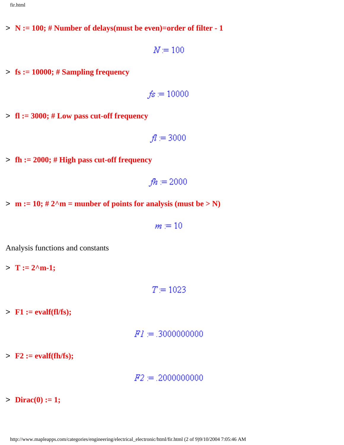> **N := 100; # Number of delays(must be even)=order of filter - 1**

$$
N=100
$$

> **fs := 10000; # Sampling frequency**

$$
f\!s=10000
$$

> **fl := 3000; # Low pass cut-off frequency**

$$
fl=3000
$$

> **fh := 2000; # High pass cut-off frequency**

$$
fh=2000
$$

 $> m := 10$ ; # 2^m = munber of points for analysis (must be  $> N$ )

 $m = 10$ 

Analysis functions and constants

 $> T := 2^m - 1;$ 

 $T = 1023$ 

> **F1 := evalf(fl/fs);**

> **F2 := evalf(fh/fs);**

 $F2 = 0.20000000000$ 

 $\text{Dirac}(0) := 1;$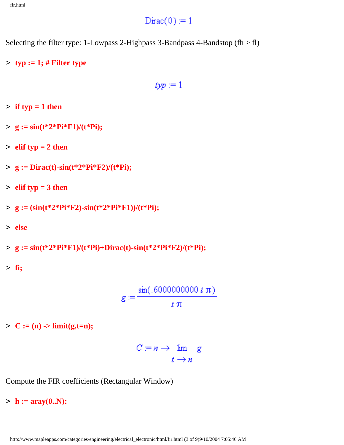## $Dirac(0) = 1$

Selecting the filter type: 1-Lowpass 2-Highpass 3-Bandpass 4-Bandstop (fh  $>$  fl)

> **typ := 1; # Filter type**

 $type = 1$ 

- $\frac{1}{2}$  if typ = 1 then
- > **g := sin(t\*2\*Pi\*F1)/(t\*Pi);**
- $\ge$  **elif typ** = 2 then
- > **g := Dirac(t)-sin(t\*2\*Pi\*F2)/(t\*Pi);**
- > **elif typ = 3 then**
- > **g := (sin(t\*2\*Pi\*F2)-sin(t\*2\*Pi\*F1))/(t\*Pi);**
- > **else**

> **g := sin(t\*2\*Pi\*F1)/(t\*Pi)+Dirac(t)-sin(t\*2\*Pi\*F2)/(t\*Pi);**

> **fi;**

 $g := \frac{\sin(.6000000000 t \pi)}{t \pi}$ 

- $> C := (n) -\text{limit}(g,t=n);$
- $C := n \rightarrow \lim_{t \to n} g$

Compute the FIR coefficients (Rectangular Window)

 $> h := \text{aray}(0..N)$ :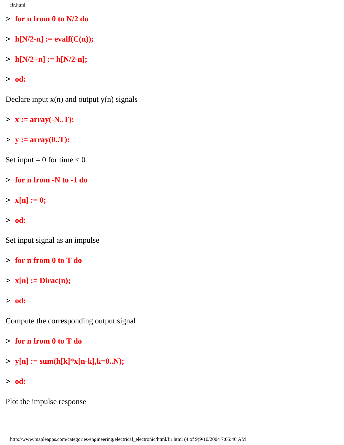- > **for n from 0 to N/2 do**
- $\succ$  **h**[N/2-n] := evalf(C(n));
- $> h[N/2+n] := h[N/2-n];$

> **od:**

Declare input  $x(n)$  and output  $y(n)$  signals

- > **x := array(-N..T):**
- > **y := array(0..T):**

Set input =  $0$  for time <  $0$ 

- > **for n from -N to -1 do**
- $> x[n] := 0;$
- > **od:**

Set input signal as an impulse

- > **for n from 0 to T do**
- > **x[n] := Dirac(n);**
- > **od:**

Compute the corresponding output signal

- > **for n from 0 to T do**
- $>$  **y**[n] := sum(h[k]\*x[n-k],k=0..N);
- > **od:**

Plot the impulse response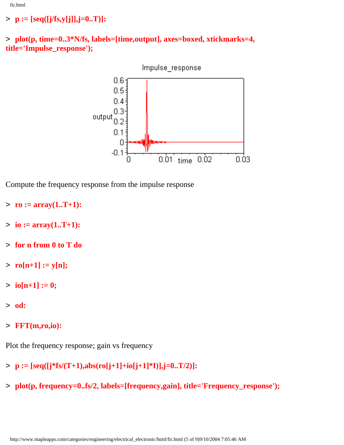### > **p := [seq([j/fs,y[j]],j=0..T)]:**





Compute the frequency response from the impulse response

- > **ro := array(1..T+1):**
- $> i**io** := array(1..T+1):$
- > **for n from 0 to T do**
- $>$  **ro**[n+1] := y[n];
- $> i\omega[n+1] := 0;$
- > **od:**
- > **FFT(m,ro,io):**

Plot the frequency response; gain vs frequency

- > **p := [seq([j\*fs/(T+1),abs(ro[j+1]+io[j+1]\*I)],j=0..T/2)]:**
- > **plot(p, frequency=0..fs/2, labels=[frequency,gain], title='Frequency\_response');**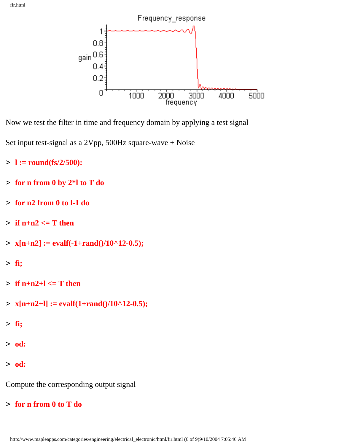

Now we test the filter in time and frequency domain by applying a test signal

Set input test-signal as a 2Vpp, 500Hz square-wave + Noise

- > **l := round(fs/2/500):**
- > **for n from 0 by 2\*l to T do**
- > **for n2 from 0 to l-1 do**
- $\geq$  **if n+n2**  $\leq$  **T** then
- $> x[n+n2] := evalf(-1+rand)/10^12-0.5);$
- > **fi;**
- $\ge$  **if n+n2+l**  $\le$  **T** then
- $> x[n+n2+1] := evalf(1+rand)/10^12-0.5);$
- > **fi;**
- > **od:**
- > **od:**

Compute the corresponding output signal

> **for n from 0 to T do**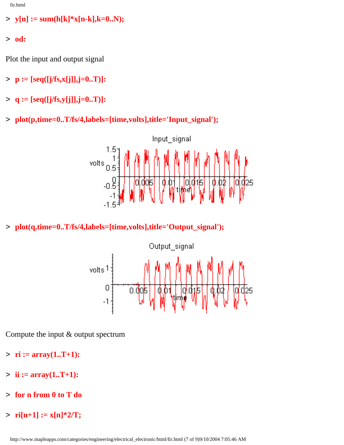$>$  **y**[n] := sum(h[k]\*x[n-k],k=0..N);

> **od:**

Plot the input and output signal

- > **p := [seq([j/fs,x[j]],j=0..T)]:**
- > **q := [seq([j/fs,y[j]],j=0..T)]:**
- > **plot(p,time=0..T/fs/4,labels=[time,volts],title='Input\_signal');**



> **plot(q,time=0..T/fs/4,labels=[time,volts],title='Output\_signal');**



Compute the input & output spectrum

- $>$  **ri** :=  $array(1..T+1)$ :
- $> i**i** := array(1..T+1):$
- > **for n from 0 to T do**
- $>$  **ri**[n+1] := x[n]\*2/T;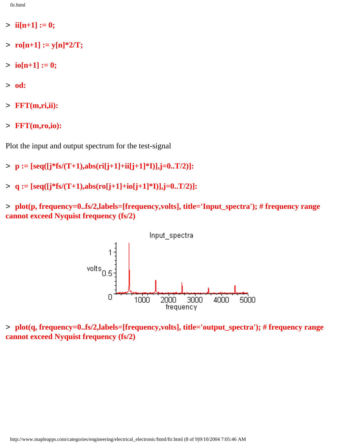- $>$  **ii**[n+1] := 0;
- $>$  **ro**[n+1] := y[n]\*2/T;
- $> i\omega[n+1] := 0;$
- > **od:**
- > **FFT(m,ri,ii):**
- > **FFT(m,ro,io):**

Plot the input and output spectrum for the test-signal

- > **p := [seq([j\*fs/(T+1),abs(ri[j+1]+ii[j+1]\*I)],j=0..T/2)]:**
- > **q := [seq([j\*fs/(T+1),abs(ro[j+1]+io[j+1]\*I)],j=0..T/2)]:**

> **plot(p, frequency=0..fs/2,labels=[frequency,volts], title='Input\_spectra'); # frequency range cannot exceed Nyquist frequency (fs/2)**



> **plot(q, frequency=0..fs/2,labels=[frequency,volts], title='output\_spectra'); # frequency range cannot exceed Nyquist frequency (fs/2)**